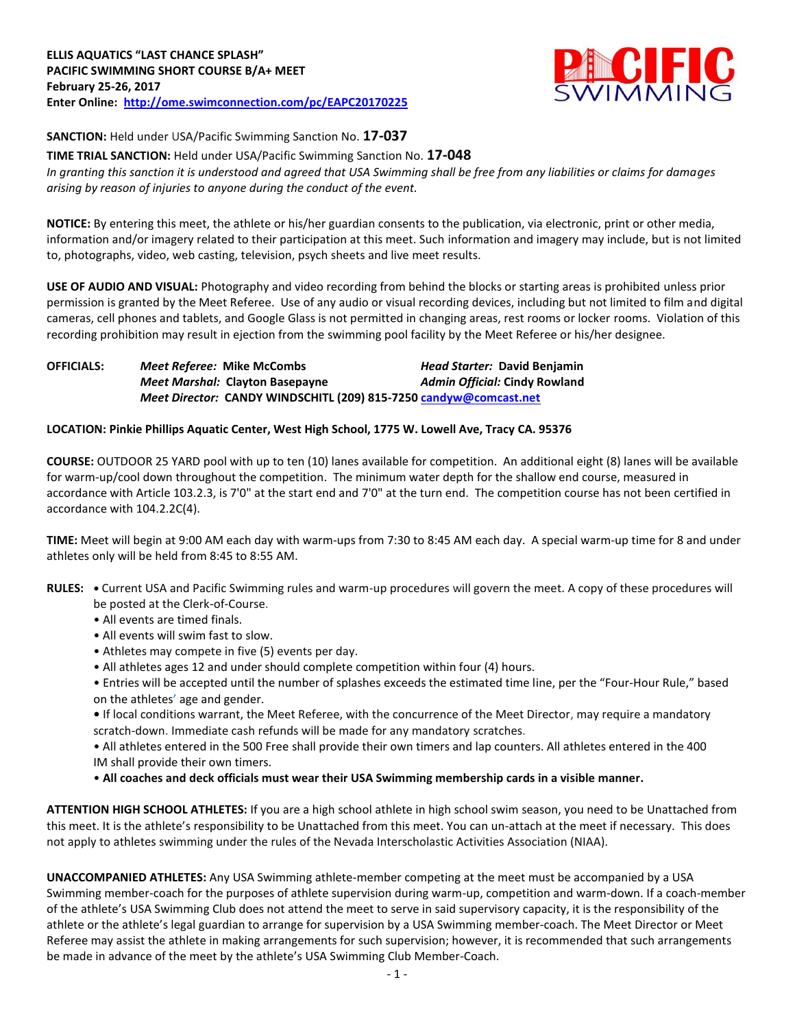

**SANCTION:** Held under USA/Pacific Swimming Sanction No. **17-037**

**TIME TRIAL SANCTION:** Held under USA/Pacific Swimming Sanction No. **17-048** *In granting this sanction it is understood and agreed that USA Swimming shall be free from any liabilities or claims for damages arising by reason of injuries to anyone during the conduct of the event.*

**NOTICE:** By entering this meet, the athlete or his/her guardian consents to the publication, via electronic, print or other media, information and/or imagery related to their participation at this meet. Such information and imagery may include, but is not limited to, photographs, video, web casting, television, psych sheets and live meet results.

**USE OF AUDIO AND VISUAL:** Photography and video recording from behind the blocks or starting areas is prohibited unless prior permission is granted by the Meet Referee. Use of any audio or visual recording devices, including but not limited to film and digital cameras, cell phones and tablets, and Google Glass is not permitted in changing areas, rest rooms or locker rooms. Violation of this recording prohibition may result in ejection from the swimming pool facility by the Meet Referee or his/her designee.

**OFFICIALS:** *Meet Referee:* **Mike McCombs** *Head Starter:* **David Benjamin** *Meet Marshal:* **Clayton Basepayne** *Admin Official:* **Cindy Rowland** *Meet Director:* **CANDY WINDSCHITL (209) 815-725[0 candyw@comcast.net](mailto:candyw@comcast.net)**

#### **LOCATION: Pinkie Phillips Aquatic Center, West High School, 1775 W. Lowell Ave, Tracy CA. 95376**

**COURSE:** OUTDOOR 25 YARD pool with up to ten (10) lanes available for competition. An additional eight (8) lanes will be available for warm-up/cool down throughout the competition. The minimum water depth for the shallow end course, measured in accordance with Article 103.2.3, is 7'0" at the start end and 7'0" at the turn end. The competition course has not been certified in accordance with 104.2.2C(4).

**TIME:** Meet will begin at 9:00 AM each day with warm-ups from 7:30 to 8:45 AM each day. A special warm-up time for 8 and under athletes only will be held from 8:45 to 8:55 AM.

- **RULES:** Current USA and Pacific Swimming rules and warm-up procedures will govern the meet. A copy of these procedures will be posted at the Clerk-of-Course.
	- All events are timed finals.
	- All events will swim fast to slow.
	- Athletes may compete in five (5) events per day.
	- All athletes ages 12 and under should complete competition within four (4) hours.

• Entries will be accepted until the number of splashes exceeds the estimated time line, per the "Four-Hour Rule," based on the athletes' age and gender.

**•** If local conditions warrant, the Meet Referee, with the concurrence of the Meet Director, may require a mandatory scratch-down. Immediate cash refunds will be made for any mandatory scratches.

• All athletes entered in the 500 Free shall provide their own timers and lap counters. All athletes entered in the 400 IM shall provide their own timers.

• **All coaches and deck officials must wear their USA Swimming membership cards in a visible manner.** 

**ATTENTION HIGH SCHOOL ATHLETES:** If you are a high school athlete in high school swim season, you need to be Unattached from this meet. It is the athlete's responsibility to be Unattached from this meet. You can un-attach at the meet if necessary. This does not apply to athletes swimming under the rules of the Nevada Interscholastic Activities Association (NIAA).

**UNACCOMPANIED ATHLETES:** Any USA Swimming athlete-member competing at the meet must be accompanied by a USA Swimming member-coach for the purposes of athlete supervision during warm-up, competition and warm-down. If a coach-member of the athlete's USA Swimming Club does not attend the meet to serve in said supervisory capacity, it is the responsibility of the athlete or the athlete's legal guardian to arrange for supervision by a USA Swimming member-coach. The Meet Director or Meet Referee may assist the athlete in making arrangements for such supervision; however, it is recommended that such arrangements be made in advance of the meet by the athlete's USA Swimming Club Member-Coach.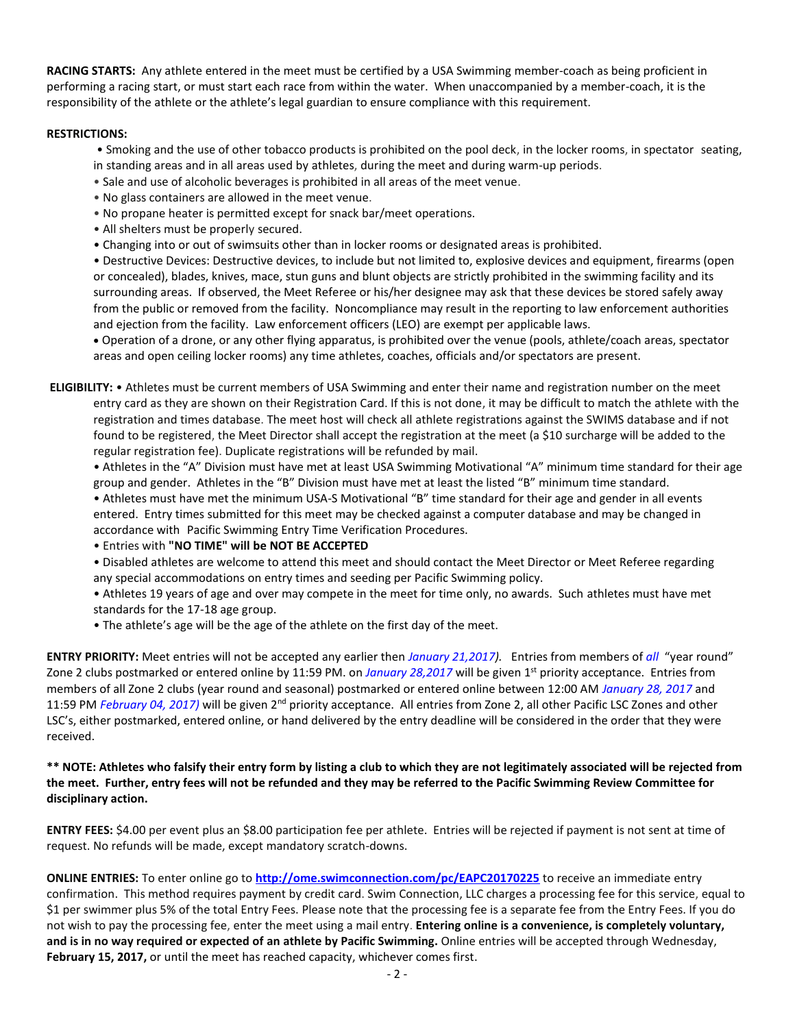**RACING STARTS:** Any athlete entered in the meet must be certified by a USA Swimming member-coach as being proficient in performing a racing start, or must start each race from within the water. When unaccompanied by a member-coach, it is the responsibility of the athlete or the athlete's legal guardian to ensure compliance with this requirement.

#### **RESTRICTIONS:**

- Smoking and the use of other tobacco products is prohibited on the pool deck, in the locker rooms, in spectator seating,
- in standing areas and in all areas used by athletes, during the meet and during warm-up periods.
- Sale and use of alcoholic beverages is prohibited in all areas of the meet venue.
- No glass containers are allowed in the meet venue.
- No propane heater is permitted except for snack bar/meet operations.
- All shelters must be properly secured.
- Changing into or out of swimsuits other than in locker rooms or designated areas is prohibited.

• Destructive Devices: Destructive devices, to include but not limited to, explosive devices and equipment, firearms (open or concealed), blades, knives, mace, stun guns and blunt objects are strictly prohibited in the swimming facility and its surrounding areas. If observed, the Meet Referee or his/her designee may ask that these devices be stored safely away from the public or removed from the facility. Noncompliance may result in the reporting to law enforcement authorities and ejection from the facility. Law enforcement officers (LEO) are exempt per applicable laws.

 Operation of a drone, or any other flying apparatus, is prohibited over the venue (pools, athlete/coach areas, spectator areas and open ceiling locker rooms) any time athletes, coaches, officials and/or spectators are present.

**ELIGIBILITY:** • Athletes must be current members of USA Swimming and enter their name and registration number on the meet entry card as they are shown on their Registration Card. If this is not done, it may be difficult to match the athlete with the registration and times database. The meet host will check all athlete registrations against the SWIMS database and if not found to be registered, the Meet Director shall accept the registration at the meet (a \$10 surcharge will be added to the regular registration fee). Duplicate registrations will be refunded by mail.

• Athletes in the "A" Division must have met at least USA Swimming Motivational "A" minimum time standard for their age group and gender. Athletes in the "B" Division must have met at least the listed "B" minimum time standard.

• Athletes must have met the minimum USA-S Motivational "B" time standard for their age and gender in all events entered. Entry times submitted for this meet may be checked against a computer database and may be changed in accordance with Pacific Swimming Entry Time Verification Procedures.

• Entries with **"NO TIME" will be NOT BE ACCEPTED**

• Disabled athletes are welcome to attend this meet and should contact the Meet Director or Meet Referee regarding any special accommodations on entry times and seeding per Pacific Swimming policy.

• Athletes 19 years of age and over may compete in the meet for time only, no awards. Such athletes must have met standards for the 17-18 age group.

• The athlete's age will be the age of the athlete on the first day of the meet.

**ENTRY PRIORITY:** Meet entries will not be accepted any earlier then *January 21,2017).* Entries from members of *all* "year round" Zone 2 clubs postmarked or entered online by 11:59 PM. on *January 28,2017* will be given 1<sup>st</sup> priority acceptance. Entries from members of all Zone 2 clubs (year round and seasonal) postmarked or entered online between 12:00 AM *January 28, 2017* and 11:59 PM *February 04, 2017)* will be given 2nd priority acceptance. All entries from Zone 2, all other Pacific LSC Zones and other LSC's, either postmarked, entered online, or hand delivered by the entry deadline will be considered in the order that they were received.

## **\*\* NOTE: Athletes who falsify their entry form by listing a club to which they are not legitimately associated will be rejected from the meet. Further, entry fees will not be refunded and they may be referred to the Pacific Swimming Review Committee for disciplinary action.**

**ENTRY FEES:** \$4.00 per event plus an \$8.00 participation fee per athlete. Entries will be rejected if payment is not sent at time of request. No refunds will be made, except mandatory scratch-downs.

**ONLINE ENTRIES:** To enter online go to **<http://ome.swimconnection.com/pc/EAPC20170225>** to receive an immediate entry confirmation. This method requires payment by credit card. Swim Connection, LLC charges a processing fee for this service, equal to \$1 per swimmer plus 5% of the total Entry Fees. Please note that the processing fee is a separate fee from the Entry Fees. If you do not wish to pay the processing fee, enter the meet using a mail entry. **Entering online is a convenience, is completely voluntary, and is in no way required or expected of an athlete by Pacific Swimming.** Online entries will be accepted through Wednesday, **February 15, 2017,** or until the meet has reached capacity, whichever comes first.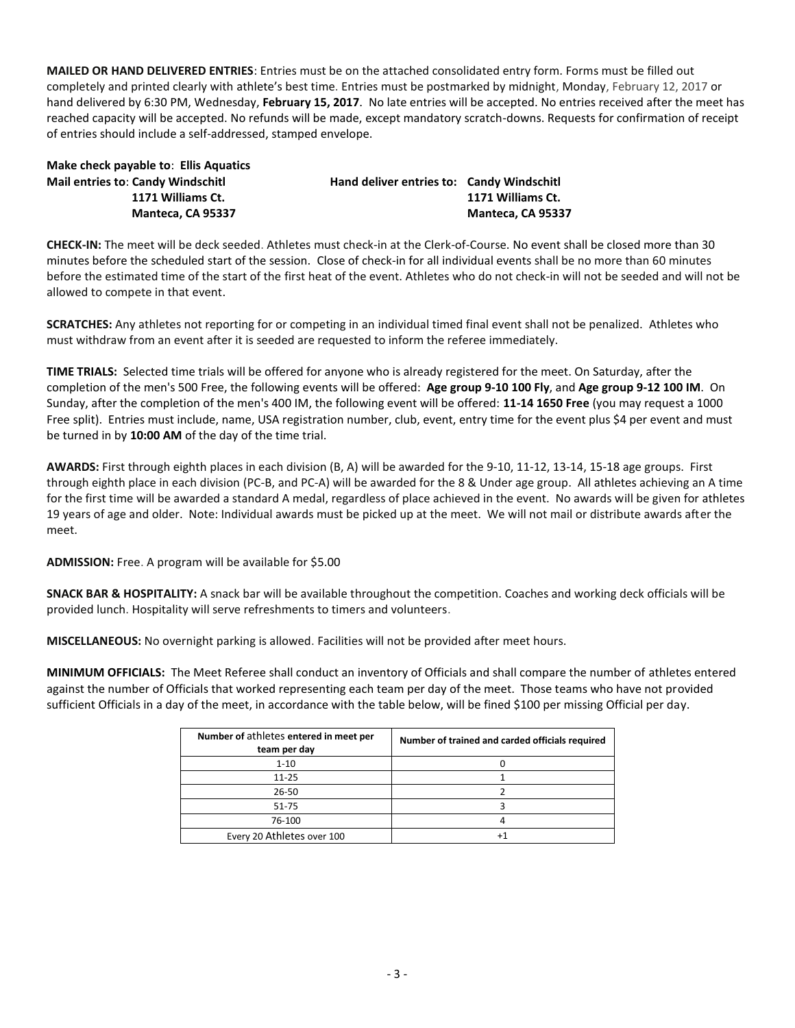**MAILED OR HAND DELIVERED ENTRIES**: Entries must be on the attached consolidated entry form. Forms must be filled out completely and printed clearly with athlete's best time. Entries must be postmarked by midnight, Monday, February 12, 2017 or hand delivered by 6:30 PM, Wednesday, **February 15, 2017**. No late entries will be accepted. No entries received after the meet has reached capacity will be accepted. No refunds will be made, except mandatory scratch-downs. Requests for confirmation of receipt of entries should include a self-addressed, stamped envelope.

| Make check payable to: Ellis Aquatics    |                 |
|------------------------------------------|-----------------|
| <b>Mail entries to: Candy Windschitl</b> | Hand deliver ei |
| 1171 Williams Ct.                        |                 |
| Manteca. CA 95337                        |                 |

**Mail entries to**: **Candy Windschitl Hand deliver entries to: Candy Windschitl 1171 Williams Ct. 1171 Williams Ct. Manteca, CA 95337 Manteca, CA 95337**

**CHECK-IN:** The meet will be deck seeded. Athletes must check-in at the Clerk-of-Course. No event shall be closed more than 30 minutes before the scheduled start of the session. Close of check-in for all individual events shall be no more than 60 minutes before the estimated time of the start of the first heat of the event. Athletes who do not check-in will not be seeded and will not be allowed to compete in that event.

**SCRATCHES:** Any athletes not reporting for or competing in an individual timed final event shall not be penalized. Athletes who must withdraw from an event after it is seeded are requested to inform the referee immediately.

**TIME TRIALS:** Selected time trials will be offered for anyone who is already registered for the meet. On Saturday, after the completion of the men's 500 Free, the following events will be offered: **Age group 9-10 100 Fly**, and **Age group 9-12 100 IM**. On Sunday, after the completion of the men's 400 IM, the following event will be offered: **11-14 1650 Free** (you may request a 1000 Free split). Entries must include, name, USA registration number, club, event, entry time for the event plus \$4 per event and must be turned in by **10:00 AM** of the day of the time trial.

**AWARDS:** First through eighth places in each division (B, A) will be awarded for the 9-10, 11-12, 13-14, 15-18 age groups. First through eighth place in each division (PC-B, and PC-A) will be awarded for the 8 & Under age group. All athletes achieving an A time for the first time will be awarded a standard A medal, regardless of place achieved in the event. No awards will be given for athletes 19 years of age and older. Note: Individual awards must be picked up at the meet. We will not mail or distribute awards after the meet.

**ADMISSION:** Free. A program will be available for \$5.00

**SNACK BAR & HOSPITALITY:** A snack bar will be available throughout the competition. Coaches and working deck officials will be provided lunch. Hospitality will serve refreshments to timers and volunteers.

**MISCELLANEOUS:** No overnight parking is allowed. Facilities will not be provided after meet hours.

**MINIMUM OFFICIALS:** The Meet Referee shall conduct an inventory of Officials and shall compare the number of athletes entered against the number of Officials that worked representing each team per day of the meet. Those teams who have not provided sufficient Officials in a day of the meet, in accordance with the table below, will be fined \$100 per missing Official per day.

| Number of athletes entered in meet per<br>team per day | Number of trained and carded officials required |
|--------------------------------------------------------|-------------------------------------------------|
| $1 - 10$                                               |                                                 |
| $11 - 25$                                              |                                                 |
| 26-50                                                  |                                                 |
| $51 - 75$                                              |                                                 |
| 76-100                                                 |                                                 |
| Every 20 Athletes over 100                             |                                                 |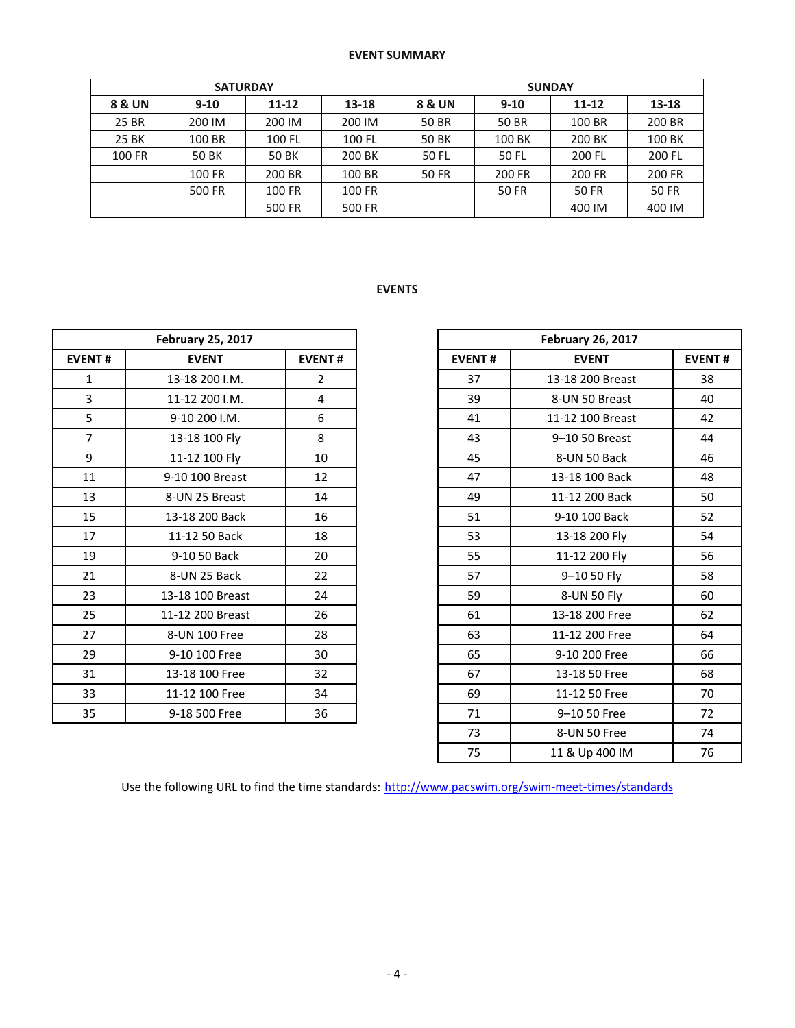## **EVENT SUMMARY**

|        | <b>SATURDAY</b> |        |        | <b>SUNDAY</b> |              |        |              |  |  |
|--------|-----------------|--------|--------|---------------|--------------|--------|--------------|--|--|
| 8 & UN | $9 - 10$        | 11-12  | 13-18  | 8 & UN        | $9 - 10$     |        | 13-18        |  |  |
| 25 BR  | 200 IM          | 200 IM | 200 IM | <b>50 BR</b>  | 50 BR        | 100 BR | 200 BR       |  |  |
| 25 BK  | 100 BR          | 100 FL | 100 FL | 50 BK         | 100 BK       | 200 BK | 100 BK       |  |  |
| 100 FR | 50 BK           | 50 BK  | 200 BK | 50 FL         | 50 FL        | 200 FL | 200 FL       |  |  |
|        | 100 FR          | 200 BR | 100 BR | <b>50 FR</b>  | 200 FR       | 200 FR | 200 FR       |  |  |
|        | 500 FR          | 100 FR | 100 FR |               | <b>50 FR</b> | 50 FR  | <b>50 FR</b> |  |  |
|        |                 | 500 FR | 500 FR |               |              | 400 IM | 400 IM       |  |  |

# **EVENTS**

|                | <b>February 25, 2017</b> |                |
|----------------|--------------------------|----------------|
| <b>EVENT#</b>  | <b>EVENT</b>             | <b>EVENT#</b>  |
| $\mathbf{1}$   | 13-18 200 I.M.           | $\overline{2}$ |
| 3              | 11-12 200 I.M.           | 4              |
| 5              | 9-10 200 I.M.            | 6              |
| $\overline{7}$ | 13-18 100 Fly            | 8              |
| 9              | 11-12 100 Fly            | 10             |
| 11             | 9-10 100 Breast          | 12             |
| 13             | 8-UN 25 Breast           | 14             |
| 15             | 13-18 200 Back           | 16             |
| 17             | 11-12 50 Back            | 18             |
| 19             | 9-10 50 Back             | 20             |
| 21             | 8-UN 25 Back             | 22             |
| 23             | 13-18 100 Breast         | 24             |
| 25             | 11-12 200 Breast         | 26             |
| 27             | 8-UN 100 Free            | 28             |
| 29             | 9-10 100 Free            | 30             |
| 31             | 13-18 100 Free           | 32             |
| 33             | 11-12 100 Free           | 34             |
| 35             | 9-18 500 Free            | 36             |
|                |                          |                |

|                | <b>February 25, 2017</b> |                |
|----------------|--------------------------|----------------|
| <b>EVENT#</b>  | <b>EVENT</b>             | <b>EVENT#</b>  |
| $\mathbf{1}$   | 13-18 200 I.M.           | $\overline{2}$ |
| $\overline{3}$ | 11-12 200 I.M.           | 4              |
| 5              | 9-10 200 I.M.            | 6              |
| $\overline{7}$ | 13-18 100 Fly            | 8              |
| 9              | 11-12 100 Fly            | 10             |
| 11             | 9-10 100 Breast          | 12             |
| 13             | 8-UN 25 Breast           | 14             |
| 15             | 13-18 200 Back           | 16             |
| 17             | 11-12 50 Back            | 18             |
| 19             | 9-10 50 Back             | 20             |
| 21             | 8-UN 25 Back             | 22             |
| 23             | 13-18 100 Breast         | 24             |
| 25             | 11-12 200 Breast         | 26             |
| 27             | 8-UN 100 Free            | 28             |
| 29             | 9-10 100 Free            | 30             |
| 31             | 13-18 100 Free           | 32             |
| 33             | 11-12 100 Free           | 34             |
| 35             | 9-18 500 Free            | 36             |
|                |                          |                |
|                |                          |                |

Use the following URL to find the time standards: <http://www.pacswim.org/swim-meet-times/standards>